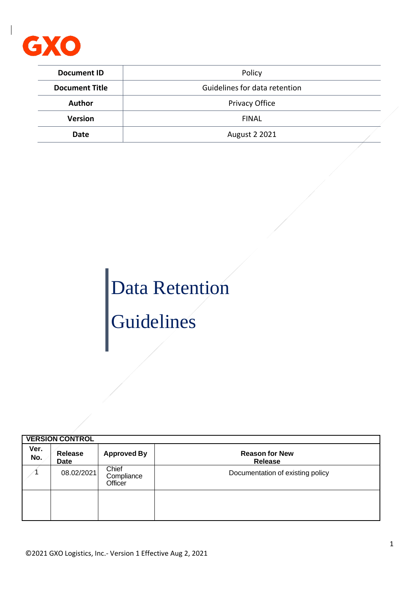

| <b>Document ID</b>    | Policy                        |
|-----------------------|-------------------------------|
| <b>Document Title</b> | Guidelines for data retention |
| Author                | <b>Privacy Office</b>         |
| <b>Version</b>        | <b>FINAL</b>                  |
| Date                  | <b>August 2 2021</b>          |

# Data Retention

## **Guidelines**

|             | <b>VERSION CONTROL</b> |                                |                                  |
|-------------|------------------------|--------------------------------|----------------------------------|
| Ver.<br>No. | Release<br>Date        | <b>Approved By</b>             | <b>Reason for New</b><br>Release |
|             | 08.02/2021             | Chief<br>Compliance<br>Officer | Documentation of existing policy |
|             |                        |                                |                                  |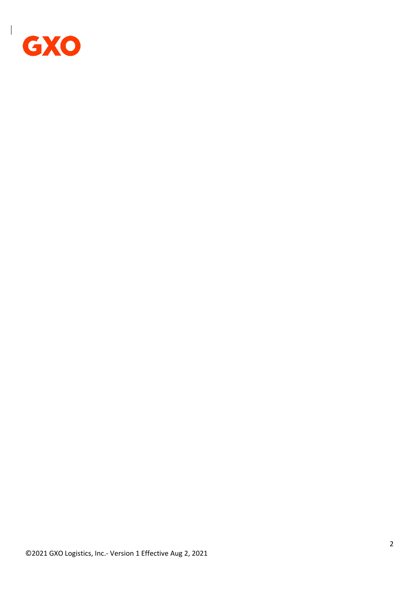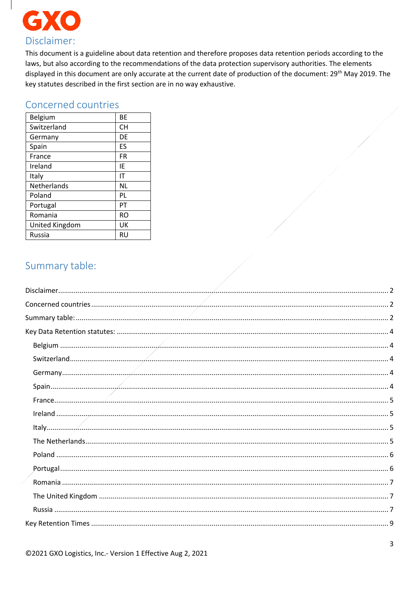

<span id="page-2-0"></span>This document is a guideline about data retention and therefore proposes data retention periods according to the laws, but also according to the recommendations of the data protection supervisory authorities. The elements displayed in this document are only accurate at the current date of production of the document: 29<sup>th</sup> May 2019. The key statutes described in the first section are in no way exhaustive.

## <span id="page-2-1"></span>Concerned countries

| Belgium        | ВF        |
|----------------|-----------|
| Switzerland    | <b>CH</b> |
| Germany        | DE        |
| Spain          | ES        |
| <b>France</b>  | <b>FR</b> |
| Ireland        | IF        |
| Italy          | ΙT        |
| Netherlands    | NL        |
| Poland         | PL        |
| Portugal       | PT        |
| Romania        | RO        |
| United Kingdom | UK        |
| Russia         | RU        |

## <span id="page-2-2"></span>Summary table: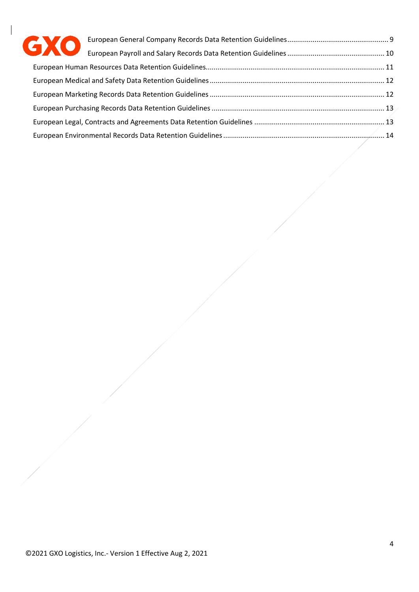

| ЭХО |  |
|-----|--|
|     |  |
|     |  |
|     |  |
|     |  |
|     |  |
|     |  |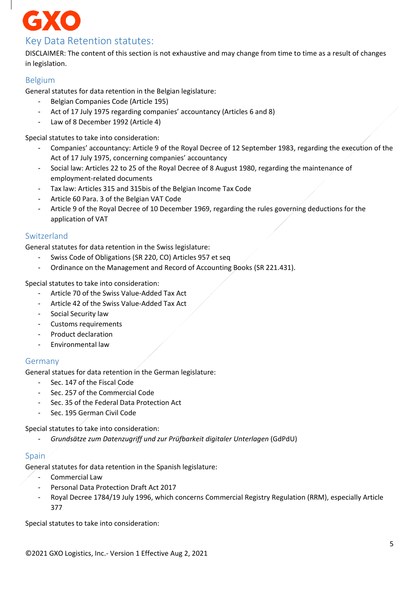

## <span id="page-4-0"></span>Key Data Retention statutes:

DISCLAIMER: The content of this section is not exhaustive and may change from time to time as a result of changes in legislation.

#### <span id="page-4-1"></span>Belgium

General statutes for data retention in the Belgian legislature:

- Belgian Companies Code (Article 195)
- Act of 17 July 1975 regarding companies' accountancy (Articles 6 and 8)
- Law of 8 December 1992 (Article 4)

Special statutes to take into consideration:

- Companies' accountancy: Article 9 of the Royal Decree of 12 September 1983, regarding the execution of the Act of 17 July 1975, concerning companies' accountancy
- Social law: Articles 22 to 25 of the Royal Decree of 8 August 1980, regarding the maintenance of employment-related documents
- Tax law: Articles 315 and 315bis of the Belgian Income Tax Code
- Article 60 Para. 3 of the Belgian VAT Code
- Article 9 of the Royal Decree of 10 December 1969, regarding the rules governing deductions for the application of VAT

#### <span id="page-4-2"></span>Switzerland

General statutes for data retention in the Swiss legislature:

- Swiss Code of Obligations (SR 220, CO) Articles 957 et seq
- Ordinance on the Management and Record of Accounting Books (SR 221.431).

Special statutes to take into consideration:

- Article 70 of the Swiss Value-Added Tax Act
- Article 42 of the Swiss Value-Added Tax Act
- Social Security law
- Customs requirements
- Product declaration
- Environmental law

#### <span id="page-4-3"></span>Germany

General statues for data retention in the German legislature:

- Sec. 147 of the Fiscal Code
- Sec. 257 of the Commercial Code
- Sec. 35 of the Federal Data Protection Act
- Sec. 195 German Civil Code

Special statutes to take into consideration:

- *Grundsätze zum Datenzugriff und zur Prüfbarkeit digitaler Unterlagen* (GdPdU)

#### <span id="page-4-4"></span>**Spain**

General statutes for data retention in the Spanish legislature:

- Commercial Law
- Personal Data Protection Draft Act 2017
- Royal Decree 1784/19 July 1996, which concerns Commercial Registry Regulation (RRM), especially Article 377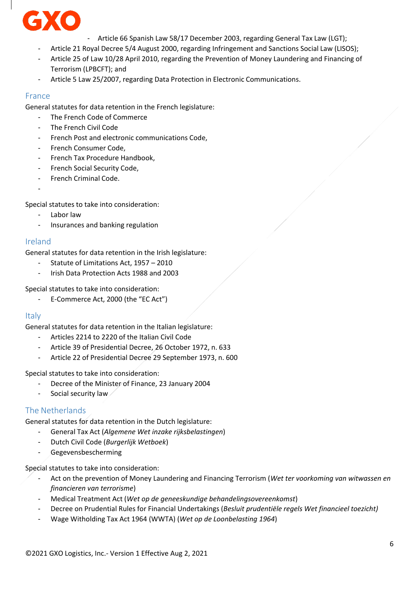

- Article 66 Spanish Law 58/17 December 2003, regarding General Tax Law (LGT);
- Article 21 Royal Decree 5/4 August 2000, regarding Infringement and Sanctions Social Law (LISOS);
- Article 25 of Law 10/28 April 2010, regarding the Prevention of Money Laundering and Financing of Terrorism (LPBCFT); and
- Article 5 Law 25/2007, regarding Data Protection in Electronic Communications.

#### <span id="page-5-0"></span>France

General statutes for data retention in the French legislature:

- The French Code of Commerce
- The French Civil Code
- French Post and electronic communications Code,
- French Consumer Code,
- French Tax Procedure Handbook,
- French Social Security Code,
- French Criminal Code.
- -

Special statutes to take into consideration:

- Labor law
- Insurances and banking regulation

#### <span id="page-5-1"></span>Ireland

General statutes for data retention in the Irish legislature:

- Statute of Limitations Act, 1957 2010
- Irish Data Protection Acts 1988 and 2003

Special statutes to take into consideration:

E-Commerce Act, 2000 (the "EC Act")

#### <span id="page-5-2"></span>Italy

General statutes for data retention in the Italian legislature:

- Articles 2214 to 2220 of the Italian Civil Code
- Article 39 of Presidential Decree, 26 October 1972, n. 633
- Article 22 of Presidential Decree 29 September 1973, n. 600

Special statutes to take into consideration:

- Decree of the Minister of Finance, 23 January 2004
- Social security law

#### <span id="page-5-3"></span>The Netherlands

General statutes for data retention in the Dutch legislature:

- General Tax Act (*Algemene Wet inzake rijksbelastingen*)
- Dutch Civil Code (*Burgerlijk Wetboek*)
- Gegevensbescherming

- Act on the prevention of Money Laundering and Financing Terrorism (*Wet ter voorkoming van witwassen en financieren van terrorisme*)
- Medical Treatment Act (*Wet op de geneeskundige behandelingsovereenkomst*)
- Decree on Prudential Rules for Financial Undertakings (*Besluit prudentiële regels Wet financieel toezicht)*
- Wage Witholding Tax Act 1964 (WWTA) (*Wet op de Loonbelasting 1964*)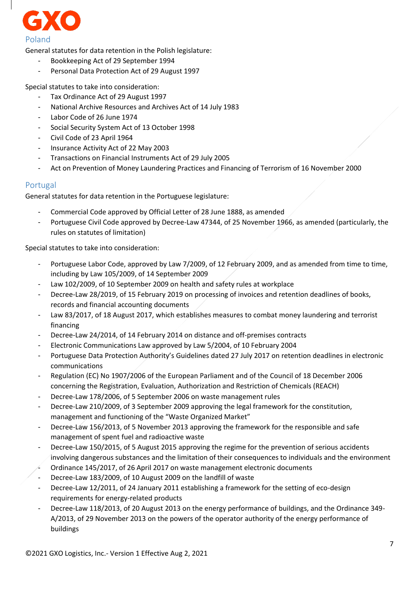

#### <span id="page-6-0"></span>Poland

General statutes for data retention in the Polish legislature:

- Bookkeeping Act of 29 September 1994
- Personal Data Protection Act of 29 August 1997

Special statutes to take into consideration:

- Tax Ordinance Act of 29 August 1997
- National Archive Resources and Archives Act of 14 July 1983
- Labor Code of 26 June 1974
- Social Security System Act of 13 October 1998
- Civil Code of 23 April 1964
- Insurance Activity Act of 22 May 2003
- Transactions on Financial Instruments Act of 29 July 2005
- Act on Prevention of Money Laundering Practices and Financing of Terrorism of 16 November 2000

#### <span id="page-6-1"></span>Portugal

General statutes for data retention in the Portuguese legislature:

- Commercial Code approved by Official Letter of 28 June 1888, as amended
- Portuguese Civil Code approved by Decree-Law 47344, of 25 November 1966, as amended (particularly, the rules on statutes of limitation)

- Portuguese Labor Code, approved by Law 7/2009, of 12 February 2009, and as amended from time to time, including by Law 105/2009, of 14 September 2009
- Law 102/2009, of 10 September 2009 on health and safety rules at workplace
- Decree-Law 28/2019, of 15 February 2019 on processing of invoices and retention deadlines of books, records and financial accounting documents
- Law 83/2017, of 18 August 2017, which establishes measures to combat money laundering and terrorist financing
- Decree-Law 24/2014, of 14 February 2014 on distance and off-premises contracts
- Electronic Communications Law approved by Law 5/2004, of 10 February 2004
- Portuguese Data Protection Authority's Guidelines dated 27 July 2017 on retention deadlines in electronic communications
- Regulation (EC) No 1907/2006 of the European Parliament and of the Council of 18 December 2006 concerning the Registration, Evaluation, Authorization and Restriction of Chemicals (REACH)
- Decree-Law 178/2006, of 5 September 2006 on waste management rules
- Decree-Law 210/2009, of 3 September 2009 approving the legal framework for the constitution, management and functioning of the "Waste Organized Market"
- Decree-Law 156/2013, of 5 November 2013 approving the framework for the responsible and safe management of spent fuel and radioactive waste
- Decree-Law 150/2015, of 5 August 2015 approving the regime for the prevention of serious accidents involving dangerous substances and the limitation of their consequences to individuals and the environment
- Ordinance 145/2017, of 26 April 2017 on waste management electronic documents
- Decree-Law 183/2009, of 10 August 2009 on the landfill of waste
- Decree-Law 12/2011, of 24 January 2011 establishing a framework for the setting of eco-design requirements for energy-related products
- Decree-Law 118/2013, of 20 August 2013 on the energy performance of buildings, and the Ordinance 349- A/2013, of 29 November 2013 on the powers of the operator authority of the energy performance of buildings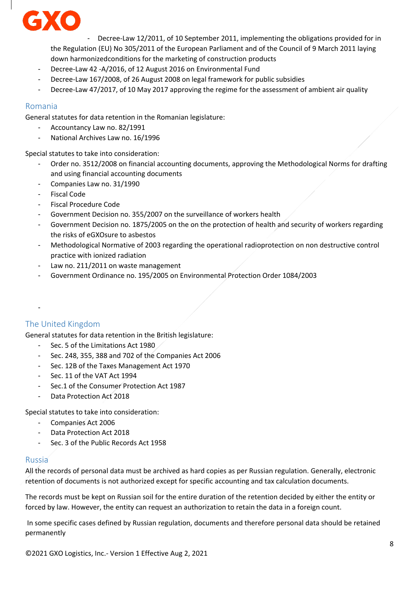

Decree-Law 12/2011, of 10 September 2011, implementing the obligations provided for in the Regulation (EU) No 305/2011 of the European Parliament and of the Council of 9 March 2011 laying down harmonizedconditions for the marketing of construction products

- Decree-Law 42 -A/2016, of 12 August 2016 on Environmental Fund
- Decree-Law 167/2008, of 26 August 2008 on legal framework for public subsidies
- Decree-Law 47/2017, of 10 May 2017 approving the regime for the assessment of ambient air quality

#### <span id="page-7-0"></span>Romania

General statutes for data retention in the Romanian legislature:

- Accountancy Law no. 82/1991
- National Archives Law no. 16/1996

Special statutes to take into consideration:

- Order no. 3512/2008 on financial accounting documents, approving the Methodological Norms for drafting and using financial accounting documents
- Companies Law no. 31/1990
- Fiscal Code
- Fiscal Procedure Code
- Government Decision no. 355/2007 on the surveillance of workers health
- Government Decision no. 1875/2005 on the on the protection of health and security of workers regarding the risks of eGXOsure to asbestos
- Methodological Normative of 2003 regarding the operational radioprotection on non destructive control practice with ionized radiation
- Law no. 211/2011 on waste management
- Government Ordinance no. 195/2005 on Environmental Protection Order 1084/2003

#### <span id="page-7-1"></span>The United Kingdom

-

General statutes for data retention in the British legislature:

- Sec. 5 of the Limitations Act 1980
- Sec. 248, 355, 388 and 702 of the Companies Act 2006
- Sec. 12B of the Taxes Management Act 1970
- Sec. 11 of the VAT Act 1994
- Sec.1 of the Consumer Protection Act 1987
- Data Protection Act 2018

Special statutes to take into consideration:

- Companies Act 2006
- Data Protection Act 2018
- Sec. 3 of the Public Records Act 1958

#### <span id="page-7-2"></span>Russia

All the records of personal data must be archived as hard copies as per Russian regulation. Generally, electronic retention of documents is not authorized except for specific accounting and tax calculation documents.

The records must be kept on Russian soil for the entire duration of the retention decided by either the entity or forced by law. However, the entity can request an authorization to retain the data in a foreign count.

In some specific cases defined by Russian regulation, documents and therefore personal data should be retained permanently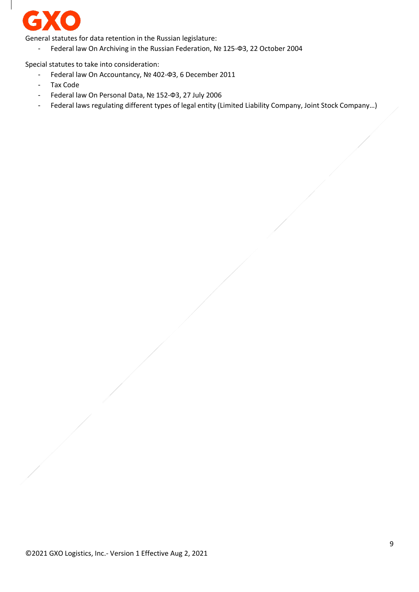

General statutes for data retention in the Russian legislature:

- Federal law On Archiving in the Russian Federation, № 125-ФЗ, 22 October 2004

- Federal law On Accountancy, № 402-ФЗ, 6 December 2011
- Tax Code
- Federal law On Personal Data, № 152-ФЗ, 27 July 2006
- Federal laws regulating different types of legal entity (Limited Liability Company, Joint Stock Company…)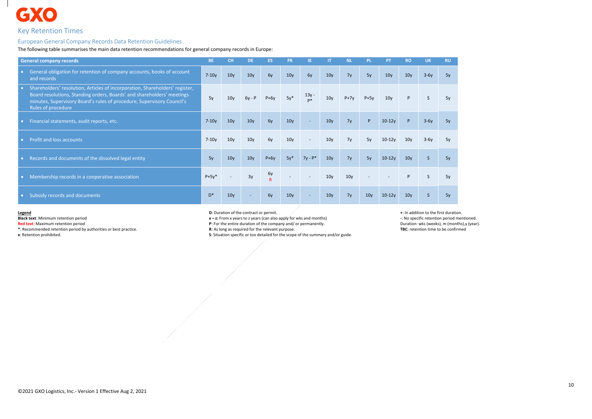| U             |  |
|---------------|--|
| ,<br>y        |  |
| .<br>y        |  |
| $\frac{1}{2}$ |  |
| $\frac{1}{2}$ |  |
| .<br>y        |  |
| ۱v            |  |

# Key Retention Times

#### <span id="page-9-1"></span><span id="page-9-0"></span>European General Company Records Data Retention Guidelines

The following table summarises the main data retention recommendations for general company records in Europe:

|             | <b>General company records</b>                                                                                                                                                                                                                         | <b>BE</b> | CH              | DE.             | <b>ES</b>            | <b>FR</b>       | IE.                      | IT              | NL              | <b>PL</b>       | <b>PT</b>       | <b>RO</b>       | <b>UK</b>    | <b>RU</b> |
|-------------|--------------------------------------------------------------------------------------------------------------------------------------------------------------------------------------------------------------------------------------------------------|-----------|-----------------|-----------------|----------------------|-----------------|--------------------------|-----------------|-----------------|-----------------|-----------------|-----------------|--------------|-----------|
|             | General obligation for retention of company accounts, books of account<br>and records                                                                                                                                                                  | $7-10y$   | 10 <sub>V</sub> | 10 <sub>y</sub> | 6y                   | 10 <sub>V</sub> | 6y                       | 10 <sub>y</sub> | 7y              | 5y              | 10 <sub>y</sub> | 10 <sub>y</sub> | $3-6y$       | 5y        |
| $\bullet$ . | Shareholders' resolution, Articles of incorporation, Shareholders' register,<br>Board resolutions, Standing orders, Boards' and shareholders' meetings<br>minutes, Supervisory Board's rules of procedure, Supervisory Council's<br>Rules of procedure | 5y        | 10 <sub>V</sub> | $6y - P$        | $P+6y$               | $5y*$           | 13y -<br>$P*$            | 10 <sub>y</sub> | $P+7y$          | $P+5y$          | 10 <sub>V</sub> | P               | <sub>S</sub> | 5y        |
| $\bullet$   | Financial statements, audit reports, etc.                                                                                                                                                                                                              | $7-10y$   | 10 <sub>V</sub> | 10 <sub>y</sub> | 6y                   | 10 <sub>y</sub> | $\overline{\phantom{a}}$ | 10 <sub>y</sub> | 7y              | P               | $10-12y$        | P               | $3-6y$       | 5y        |
|             | <b>Profit and loss accounts</b>                                                                                                                                                                                                                        | $7-10y$   | 10 <sub>V</sub> | 10 <sub>y</sub> | 6y                   | 10 <sub>V</sub> |                          | 10 <sub>y</sub> | 7y              | 5y              | $10-12y$        | 10 <sub>V</sub> | $3-6y$       | 5y        |
| $\bullet$   | Records and documents of the dissolved legal entity                                                                                                                                                                                                    | 5y        | 10 <sub>V</sub> | 10 <sub>y</sub> | $P+6y$               | $5y^*$          | $7y - P^*$               | 10 <sub>y</sub> | 7y              | 5y              | $10-12y$        | 10 <sub>y</sub> | S            | 5y        |
| $\bullet$   | Membership records in a cooperative association                                                                                                                                                                                                        | $P+5y*$   |                 | 3y              | 6y<br>$\overline{R}$ |                 | $\overline{\phantom{a}}$ | 10 <sub>V</sub> | 10 <sub>V</sub> |                 |                 | P               | S.           | 5y        |
| $\bullet$   | Subsidy records and documents                                                                                                                                                                                                                          | $D^*$     | 10 <sub>y</sub> |                 | 6v                   | 10 <sub>y</sub> | $\overline{\phantom{a}}$ | 10 <sub>y</sub> | 7y              | 10 <sub>y</sub> | $10-12y$        | 10 <sub>y</sub> | S.           | 5y        |

#### **Legend**

**Black text**: Minimum retention period

**Red text**: Maximum retention period

**\***: Recommended retention period by authorities or best practice.

**x**: Retention prohibited.

**D**: Duration of the contract or permit.

**x – z:** From x years to z years (can also apply for wks and months)

**P**: For the entire duration of the company and/ or permanently.

**R**: As long as required for the relevant purpose.

**S**: Situation specific or too detailed for the scope of the summary and/or guide.

**+**: In addition to the first duration. **-**: No specific retention period mentioned. Duration: wks (weeks), m (months),y (year). **TBC**: retention time to be confirmed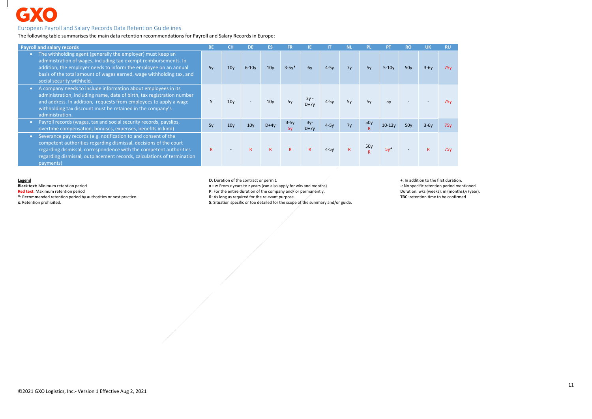

#### <span id="page-10-0"></span>European Payroll and Salary Records Data Retention Guidelines

The following table summarises the main data retention recommendations for Payroll and Salary Records in Europe:

| <b>Payroll and salary records</b>                                                                                                                                                                                                                                                                        | <b>BE</b> | CH              | <b>DE</b>       | <b>ES</b>       | <b>FR</b>    | IE.             |        | <b>NL</b> | <b>PL</b>           | <b>PT</b> | <b>RO</b> | <b>UK</b>    | <b>RU</b> |
|----------------------------------------------------------------------------------------------------------------------------------------------------------------------------------------------------------------------------------------------------------------------------------------------------------|-----------|-----------------|-----------------|-----------------|--------------|-----------------|--------|-----------|---------------------|-----------|-----------|--------------|-----------|
| The withholding agent (generally the employer) must keep an<br>administration of wages, including tax-exempt reimbursements. In<br>addition, the employer needs to inform the employee on an annual<br>basis of the total amount of wages earned, wage withholding tax, and<br>social security withheld. | 5y        | 10 <sub>V</sub> | $6-10y$         | 10 <sub>y</sub> | $3-5y*$      | 6y              | $4-5y$ | 7y        | 5y                  | $5-10y$   | 50y       | $3-6y$       | 75v       |
| • A company needs to include information about employees in its<br>administration, including name, date of birth, tax registration number<br>and address. In addition, requests from employees to apply a wage<br>withholding tax discount must be retained in the company's<br>administration.          |           | 10 <sub>V</sub> |                 | 10 <sub>V</sub> | 5y           | 3у -<br>$D+7v$  | $4-5y$ | 5y        | 5y                  | 5y        |           |              | 75v       |
| Payroll records (wages, tax and social security records, payslips,<br>overtime compensation, bonuses, expenses, benefits in kind)                                                                                                                                                                        | 5y        | 10 <sub>y</sub> | 10 <sub>y</sub> | $D+4y$          | $3-5y$<br>5v | $3y-$<br>$D+7y$ | $4-5y$ | 7y        | 50y<br>$\mathsf{R}$ | $10-12y$  | 50y       | $3-6y$       | 75v       |
| Severance pay records (e.g. notification to and consent of the<br>competent authorities regarding dismissal, decisions of the court<br>regarding dismissal, correspondence with the competent authorities<br>regarding dismissal, outplacement records, calculations of termination<br>payments)         | R         |                 | R.              | R               | $\mathsf{R}$ | $R_{\parallel}$ | $4-5y$ | R.        | 50y<br>$\mathsf{R}$ | $5v^*$    |           | $\mathsf{R}$ | 75v       |

#### **Legend**

**Black text:** Minimum retention period

**Red text**: Maximum retention period

**\***: Recommended retention period by authorities or best practice. **x**: Retention prohibited.

**D**: Duration of the contract or permit.

**x – z:** From x years to z years (can also apply for wks and months)

**P**: For the entire duration of the company and/ or permanently.

**R**: As long as required for the relevant purpose.

**S**: Situation specific or too detailed for the scope of the summary and/or guide.

**+**: In addition to the first duration. **-**: No specific retention period mentioned. Duration: wks (weeks), m (months),y (year). **TBC**: retention time to be confirmed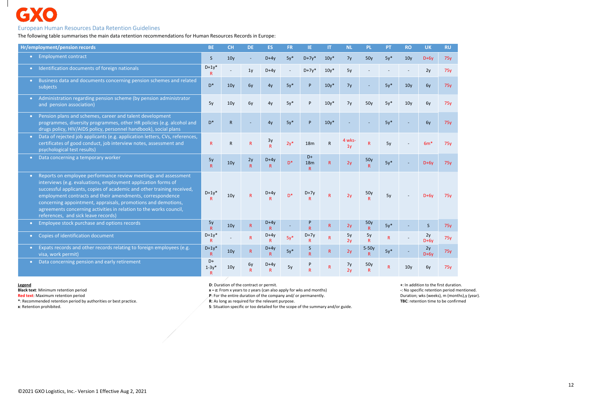| ц                       |               |  |  |
|-------------------------|---------------|--|--|
|                         | 5y            |  |  |
|                         | 5y            |  |  |
|                         | $\frac{5}{3}$ |  |  |
|                         | 5y            |  |  |
|                         | 5y            |  |  |
|                         | 5y            |  |  |
|                         | 5y            |  |  |
| $\overline{\mathbf{5}}$ |               |  |  |
| $\frac{5}{3}$           |               |  |  |
|                         | 5y            |  |  |
|                         | 5y            |  |  |

#### <span id="page-11-0"></span>European Human Resources Data Retention Guidelines

The following table summarises the main data retention recommendations for Human Resources Records in Europe:

| Hr/employment/pension records                                                                                                                                                                                                                                                                                                                                                                                                                        | <b>BE</b>                       | <b>CH</b>       | <b>DE</b>          | <b>ES</b>              | <b>FR</b> | IE.                          | IT           | <b>NL</b>                | <b>PL</b>               | PT     | <b>RO</b>       | <b>UK</b>    | <b>RU</b> |
|------------------------------------------------------------------------------------------------------------------------------------------------------------------------------------------------------------------------------------------------------------------------------------------------------------------------------------------------------------------------------------------------------------------------------------------------------|---------------------------------|-----------------|--------------------|------------------------|-----------|------------------------------|--------------|--------------------------|-------------------------|--------|-----------------|--------------|-----------|
| • Employment contract                                                                                                                                                                                                                                                                                                                                                                                                                                | <sub>S</sub>                    | 10 <sub>V</sub> | ٠                  | $D+4y$                 | $5y*$     | $D+7y^*$                     | $10y*$       | 7y                       | 50y                     | $5y*$  | 10 <sub>y</sub> | $D+6y$       | 75y       |
| • Identification documents of foreign nationals                                                                                                                                                                                                                                                                                                                                                                                                      | $D+1y^*$                        |                 | 1y                 | $D+4y$                 |           | $D+7y^*$                     | $10y*$       | 5y                       |                         |        |                 | 2y           | 75y       |
| • Business data and documents concerning pension schemes and related<br>subjects                                                                                                                                                                                                                                                                                                                                                                     | $D^*$                           | 10 <sub>y</sub> | 6y                 | 4y                     | $5y*$     | P                            | $10y*$       | 7y                       |                         | $5y*$  | 10 <sub>y</sub> | 6y           | 75y       |
| • Administration regarding pension scheme (by pension administrator<br>and pension association)                                                                                                                                                                                                                                                                                                                                                      | 5y                              | 10 <sub>V</sub> | 6y                 | 4y                     | $5y*$     | P                            | $10v^*$      | 7v                       | 50y                     | $5y*$  | 10 <sub>V</sub> | 6y           | 75y       |
| • Pension plans and schemes, career and talent development<br>programmes, diversity programmes, other HR policies (e.g. alcohol and<br>drugs policy, HIV/AIDS policy, personnel handbook), social plans                                                                                                                                                                                                                                              | $D^*$                           | $\mathsf{R}$    |                    | 4y                     | $5y*$     | $\mathsf{P}$                 | $10y*$       |                          |                         | $5y*$  |                 | 6y           | 75y       |
| Data of rejected job applicants (e.g. application letters, CVs, references,<br>certificates of good conduct, job interview notes, assessment and<br>psychological test results)                                                                                                                                                                                                                                                                      | $\mathsf{R}$                    | $\mathsf{R}$    | $\mathsf{R}$       | 3y<br>$\overline{R}$   | $2y^*$    | 18 <sub>m</sub>              | ${\sf R}$    | 4 wks-<br>1 <sub>y</sub> | $\mathsf{R}$            | 5y     |                 | $6m*$        | 75v       |
| • Data concerning a temporary worker                                                                                                                                                                                                                                                                                                                                                                                                                 | 5y<br>$\mathsf{R}$              | 10 <sub>y</sub> | 2y<br>R            | $D+4y$<br>R.           | $D^*$     | D+<br>18m<br>$\mathsf{R}$    | $\mathsf{R}$ | 2y                       | 50y<br>$\mathsf{R}$     | $5y^*$ |                 | $D+6v$       | 75y       |
| Reports on employee performance review meetings and assessment<br>interviews (e.g. evaluations, employment application forms of<br>successful applicants, copies of academic and other training received,<br>employment contracts and their amendments, correspondence<br>concerning appointment, appraisals, promotions and demotions,<br>agreements concerning activities in relation to the works council,<br>references, and sick leave records) | $D+1y^*$                        | 10 <sub>V</sub> | R                  | $D+4y$                 | $D^*$     | $D+7y$<br>$\mathsf{R}$       | $\mathsf{R}$ | 2y                       | 50y                     | 5y     |                 |              |           |
| • Employee stock purchase and options records                                                                                                                                                                                                                                                                                                                                                                                                        | $5y$<br>$\mathsf{R}$            | 10 <sub>y</sub> | $\mathsf{R}$       | $D+4y$<br>$\mathsf{R}$ |           |                              | ${\sf R}$    | 2y                       | 50y<br>$\mathsf{R}$     | $5y*$  |                 | <sub>S</sub> | 75y       |
| • Copies of identification document                                                                                                                                                                                                                                                                                                                                                                                                                  | $D+1y^*$                        |                 | $\mathsf{R}$       | $D+4y$                 | $5y*$     | $D+7y$                       | $\mathsf{R}$ | 5y<br>2y                 | 5y<br>$\mathsf{R}$      | R.     |                 | 2y<br>$D+6y$ | 75y       |
| • Expats records and other records relating to foreign employees (e.g.<br>visa, work permit)                                                                                                                                                                                                                                                                                                                                                         | $D+1y^*$<br>$\mathsf{R}$        | 10 <sub>y</sub> | $\mathsf{R}$       | $D+4y$<br>$\mathsf{R}$ | $5y*$     | S<br>$\overline{\mathsf{R}}$ | $\mathsf{R}$ | 2y                       | $5-50y$<br>$\mathsf{R}$ | $5y^*$ |                 | 2y<br>$D+6y$ | 75y       |
| • Data concerning pension and early retirement                                                                                                                                                                                                                                                                                                                                                                                                       | D+<br>$1 - 3y*$<br>$\mathsf{R}$ | 10 <sub>y</sub> | 6y<br>$\mathsf{R}$ | $D+4y$<br>R            | 5y        |                              | $\mathsf{R}$ | 7у<br>2y                 | 50y<br>$\mathsf{R}$     | R      | 10 <sub>V</sub> | 6y           | 75y       |

#### **Legend**

**Black text**: Minimum retention period

**Red text**: Maximum retention period

**\***: Recommended retention period by authorities or best practice.

**x**: Retention prohibited.

**D**: Duration of the contract or permit.

**x – z:** From x years to z years (can also apply for wks and months)

**P**: For the entire duration of the company and/ or permanently.

**R**: As long as required for the relevant purpose.

**S**: Situation specific or too detailed for the scope of the summary and/or guide.

**+**: In addition to the first duration. **-**: No specific retention period mentioned.

- 
- Duration; wks (weeks), m (months),y (year).
	-

**TBC**: retention time to be confirmed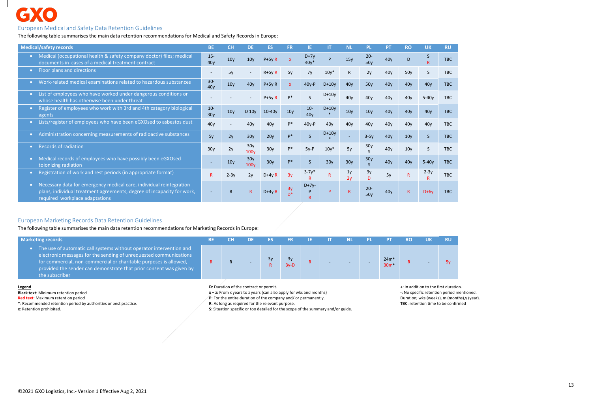#### <span id="page-12-0"></span>European Medical and Safety Data Retention Guidelines

The following table summarises the main data retention recommendations for Medical and Safety Records in Europe:

| <b>Medical/safety records</b>                                                                                                                                                                | <b>BE</b>                 | <b>CH</b>                | <b>DE</b>               | <b>ES</b>       | <b>FR</b>                 | IE.              | IT      | <b>NL</b>            | <b>PL</b>           | <b>PT</b>       | <b>RO</b>       | <b>UK</b>                              | <b>RU</b>  |
|----------------------------------------------------------------------------------------------------------------------------------------------------------------------------------------------|---------------------------|--------------------------|-------------------------|-----------------|---------------------------|------------------|---------|----------------------|---------------------|-----------------|-----------------|----------------------------------------|------------|
| • Medical (occupational health & safety company doctor) files; medical<br>documents in cases of a medical treatment contract                                                                 | $15 -$<br>40y             | 10 <sub>y</sub>          | 10 <sub>V</sub>         | $P+5V R$        | $\boldsymbol{\mathsf{x}}$ | $D+7y$<br>$40y*$ | D       | 15y                  | $20 -$<br>50y       | 40y             | D               | $\mathsf S$<br>$\overline{\mathsf{R}}$ | <b>TBC</b> |
| Floor plans and directions<br>$\bullet$                                                                                                                                                      |                           | 5y                       |                         | $R+5V$ R        | 5y                        | 7y               | $10y*$  | R                    | 2y                  | 40 <sub>V</sub> | 50y             | S.                                     | <b>TBC</b> |
| Work-related medical examinations related to hazardous substances<br>$\bullet$ .                                                                                                             | $30 -$<br>40 <sub>V</sub> | 10 <sub>V</sub>          | 40 <sub>V</sub>         | $P+5y R$        | $\mathsf{x}$              | $40y-P$          | $D+10y$ | 40 <sub>y</sub>      | 50y                 | 40 <sub>V</sub> | 40y             | 40 <sub>V</sub>                        | <b>TBC</b> |
| List of employees who have worked under dangerous conditions or<br>$\bullet$ .<br>whose health has otherwise been under threat                                                               |                           |                          |                         | $P+5V$ R        | P*                        | S.               | $D+10y$ | 40 <sub>V</sub>      | 40y                 | 40 <sub>V</sub> | 40y             | $5-40y$                                | <b>TBC</b> |
| Register of employees who work with 3rd and 4th category biological<br>agents                                                                                                                | $10 -$<br>30y             | 10 <sub>V</sub>          | D 10 <sub>v</sub>       | $10-40v$        | 10 <sub>V</sub>           | $10 -$<br>40y    | $D+10y$ | 10 <sub>y</sub>      | 10 <sub>y</sub>     | 40 <sub>V</sub> | 40y             | 40 <sub>V</sub>                        | <b>TBC</b> |
| Lists/register of employees who have been eGXOsed to asbestos dust                                                                                                                           | 40y                       | $\overline{\phantom{a}}$ | 40v                     | 40v             | $P*$                      | $40y-P$          | 40v     | 40 <sub>V</sub>      | 40y                 | 40 <sub>V</sub> | 40v             | 40 <sub>V</sub>                        | <b>TBC</b> |
| Administration concerning measurements of radioactive substances<br>$\bullet$ .                                                                                                              | 5y                        | 2y                       | 30 <sub>y</sub>         | 20y             | $P*$                      | S.               | $D+10y$ |                      | $3-5y$              | 40 <sub>V</sub> | 10 <sub>V</sub> | S                                      | <b>TBC</b> |
| <b>Records of radiation</b><br>$\bullet$                                                                                                                                                     | 30 <sub>V</sub>           | 2y                       | 30y<br>100y             | 30 <sub>y</sub> | $\mathsf{P}^*$            | $5y-P$           | $10y*$  | 5y                   | 30y<br>$\varsigma$  | 40 <sub>V</sub> | 10 <sub>V</sub> | S                                      | <b>TBC</b> |
| Medical records of employees who have possibly been eGXOsed<br>$\bullet$<br>toionizing radiation                                                                                             |                           | 10 <sub>y</sub>          | 30y<br>100 <sub>V</sub> | 30 <sub>V</sub> | $P*$                      | S                | 30y     | 30 <sub>y</sub>      | 30y<br>$\mathsf{S}$ | 40 <sub>V</sub> | 40 <sub>V</sub> | $5-40y$                                | <b>TBC</b> |
| Registration of work and rest periods (in appropriate format)                                                                                                                                | R                         | $2-3y$                   | 2v                      | $D+4vR$         | 3v                        | $3 - 7y^*$       | R.      | 1 <sub>y</sub><br>2y | 3y<br>D             | 5y              | $\mathsf{R}$    | $2-3y$<br>$\mathsf{R}$                 | <b>TBC</b> |
| Necessary data for emergency medical care, individual reintegration<br>$\bullet$<br>plans, individual treatment agreements, degree of incapacity for work,<br>required workplace adaptations |                           | $\mathsf{R}$             | R                       | $D+4vF$         | 3y<br>$D^*$               | $D+7y-$<br>R     | Þ       | $\overline{R}$       | $20 -$<br>50y       | 40 <sub>V</sub> | $\mathsf{R}$    | $D+6v$                                 | <b>TBC</b> |

#### <span id="page-12-1"></span>European Marketing Records Data Retention Guidelines

The following table summarises the main data retention recommendations for Marketing Records in Europe:

| <b>Marketing records</b> |                                                                                                                                                                                                                                                                                                                      |  | FS |        |   | NL |                            | <b>RO</b> | <b>RU</b> |
|--------------------------|----------------------------------------------------------------------------------------------------------------------------------------------------------------------------------------------------------------------------------------------------------------------------------------------------------------------|--|----|--------|---|----|----------------------------|-----------|-----------|
|                          | $\bullet$ The use of automatic call systems without operator intervention and $'$<br>electronic messages for the sending of unrequested communications<br>for commercial, non-commercial or charitable purposes is allowed,<br>provided the sender can demonstrate that prior consent was given by<br>the subscriber |  |    | $3v-D$ | R |    | $24m*$<br>30m <sup>*</sup> | n         | 5v        |

#### **Legend**

**Black text**: Minimum retention period

**Red text**: Maximum retention period

**\***: Recommended retention period by authorities or best practice.

**x**: Retention prohibited.

**D**: Duration of the contract or permit.

**x – z:** From x years to z years (can also apply for wks and months)

**P**: For the entire duration of the company and/ or permanently.

**R**: As long as required for the relevant purpose.

**S**: Situation specific or too detailed for the scope of the summary and/or guide.

**+**: In addition to the first duration. **-**: No specific retention period mentioned. Duration; wks (weeks), m (months),y (year). **TBC**: retention time to be confirmed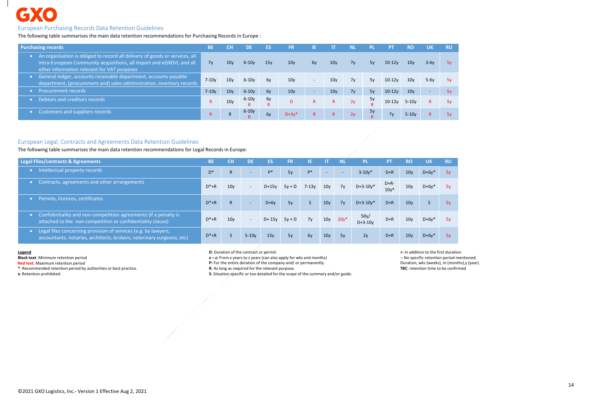| ่เป |  |
|-----|--|
| 5y  |  |
|     |  |
| 5у  |  |
| 5у  |  |
| 5y  |  |

#### <span id="page-13-0"></span>European Purchasing Records Data Retention Guidelines

The following table summarises the main data retention recommendations for Purchasing Records in Europe :

#### <span id="page-13-1"></span>European Legal, Contracts and Agreements Data Retention Guidelines

The following table summarises the main data retention recommendations for Legal Records in Europe:

| <b>Purchasing records</b>                                                                                                                                                                           | <b>BE</b> | CH              | DE      | <b>ES</b> | <b>FR</b>       | IE.                      | Ш               | Νl | -PL                | PТ       | -RO             | UK     | <b>RU</b> |
|-----------------------------------------------------------------------------------------------------------------------------------------------------------------------------------------------------|-----------|-----------------|---------|-----------|-----------------|--------------------------|-----------------|----|--------------------|----------|-----------------|--------|-----------|
| An organisation is obliged to record all delivery of goods or services, all<br>intra-European Community acquisitions, all import and eGXOrt, and all<br>other information relevant for VAT purposes | 7γ.       | 10 <sub>y</sub> | $6-10v$ | 15v       | 10 <sub>V</sub> | 6y                       | 10 <sub>y</sub> | 7у | 5γ                 | $10-12y$ | 10v             | $3-6v$ | 5v        |
| General ledger, accounts receivable department, accounts payable<br>department, (procurement and) sales administration, inventory records                                                           | $7-10v$   | 10 <sub>V</sub> | $6-10v$ | 6y        | 10 <sub>V</sub> | $\overline{\phantom{0}}$ | 10 <sub>y</sub> | 7y | 5٧                 | $10-12v$ | 10 <sub>V</sub> | $5-6v$ | 5y        |
| Procurement records                                                                                                                                                                                 | $7-10v$   | 10 <sub>y</sub> | $6-10y$ | 6y        | 10 <sub>V</sub> | $\overline{a}$           | 10 <sub>y</sub> | 7y | 5y                 | $10-12y$ | 10 <sub>V</sub> |        | 5y        |
| Debtors and creditors records                                                                                                                                                                       |           | 10 <sub>y</sub> | $6-10v$ | 6у        | D               | R.                       | $\mathsf{R}$    | 2v | 5y                 | $10-12y$ | $5-10y$         | R      | 5v        |
| <b>Customers and suppliers records</b>                                                                                                                                                              |           | $\mathsf{R}$    | $6-10y$ | 6v        | $D+3v^*$        | R.                       | R               | 2y | 5y<br>$\mathsf{R}$ | 7y       | $5-10y$         | R.     | 5v        |

**Legend**

**Black text**: Minimum retention period

|           | <b>Legal Files/contracts &amp; Agreements</b>                                                                                           | <b>BE</b> | <b>CH</b>       | <b>DE</b>                | <b>ES</b> | <b>FR</b> | IE.   | -IT                      | <b>NL</b>                | <b>PL</b>         | <b>PT</b>         | <b>RO</b>       | <b>UK</b> | <b>RU</b> |
|-----------|-----------------------------------------------------------------------------------------------------------------------------------------|-----------|-----------------|--------------------------|-----------|-----------|-------|--------------------------|--------------------------|-------------------|-------------------|-----------------|-----------|-----------|
|           | Intellectual property records                                                                                                           | $D^*$     | $\mathsf{R}$    | $\overline{\phantom{0}}$ | $P^*$     | 5y        | $P*$  | $\overline{\phantom{0}}$ | $\overline{\phantom{a}}$ | $3 - 10y^*$       | $D + R$           | 10 <sub>y</sub> | $D+6y*$   | 5y        |
|           | Contracts, agreements and other arrangements                                                                                            | $D^*+R$   | 10 <sub>y</sub> | $\overline{\phantom{a}}$ | $D+15v$   | $5y + D$  | 7-13y | 10 <sub>V</sub>          | 7y                       | $D+3-10y*$        | $D+R-$<br>$10v^*$ | 10y             | $D+6y*$   | 5v        |
| $\bullet$ | Permits, licences, certificates                                                                                                         | $D^*+R$   | $\mathsf{R}$    | $\sim$                   | $D+6v$    | 5y        |       | 10 <sub>V</sub>          | 7y                       | $D+3-10y*$        | $D + R$           | 10 <sub>y</sub> |           | 5y        |
|           | Confidentiality and non-competition agreements (if a penalty is<br>attached to the non-competition or confidentiality clause)           | $D^*+R$   | 10 <sub>V</sub> | $\overline{\phantom{a}}$ | $D+15v$   | $5y + D$  | 7y    |                          | $10y$ $20y^*$            | 50y/<br>$D+3-10y$ | $D + R$           | 10 <sub>V</sub> | $D+6y*$   | 5v        |
|           | Legal files concerning provision of services (e.g. by lawyers,<br>accountants, notaries, architects, brokers, veterinary surgeons, etc) | $D^*+R$   | S               | $5-10y$                  | 15v       | 5y        | 6y    | 10 <sub>y</sub>          | 5y                       | 2y                | $D+R$             | 10y             | $D+6y^*$  | 5y        |

**Red text**: Maximum retention period

**\***: Recommended retention period by authorities or best practice.

**x**: Retention prohibited.

**D**: Duration of the contract or permit.

**x** – **z**: From x years to z years (can also apply for wks and months)

**P:** For the entire duration of the company and/ or permanently.

**R**: As long as required for the relevant purpose.

**S**: Situation specific or too detailed for the scope of the summary and/or guide.

**+**: In addition to the first duration. **-**: No specific retention period mentioned. Duration; wks (weeks), m (months),y (year). **TBC**: retention time to be confirmed